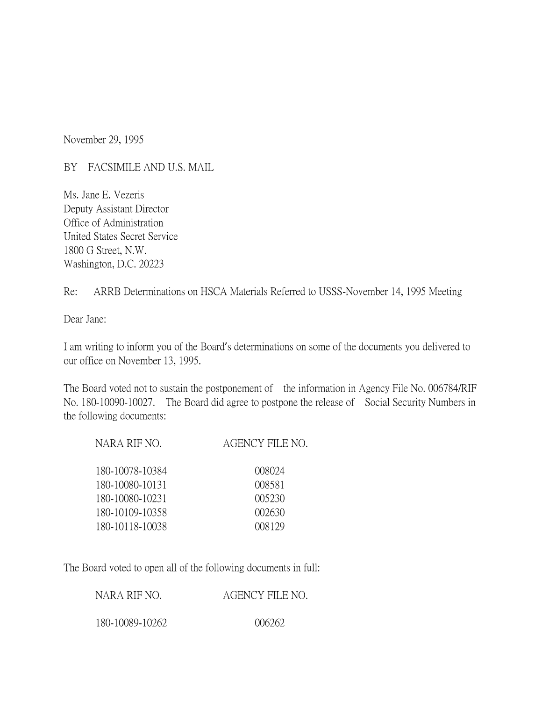November 29, 1995

BY FACSIMILE AND U.S. MAIL

Ms. Jane E. Vezeris Deputy Assistant Director Office of Administration United States Secret Service 1800 G Street, N.W. Washington, D.C. 20223

## Re: ARRB Determinations on HSCA Materials Referred to USSS-November 14, 1995 Meeting

Dear Jane:

I am writing to inform you of the Board's determinations on some of the documents you delivered to our office on November 13, 1995.

The Board voted not to sustain the postponement of the information in Agency File No. 006784/RIF No. 180-10090-10027. The Board did agree to postpone the release of Social Security Numbers in the following documents:

| NARA RIF NO.    | AGENCY FILE NO. |
|-----------------|-----------------|
| 180-10078-10384 | 008024          |
| 180-10080-10131 | 008581          |
| 180-10080-10231 | 005230          |
| 180-10109-10358 | 002630          |
| 180-10118-10038 | 008129          |

The Board voted to open all of the following documents in full:

| NARA RIF NO.    | AGENCY FILE NO. |
|-----------------|-----------------|
| 180-10089-10262 | 006262          |